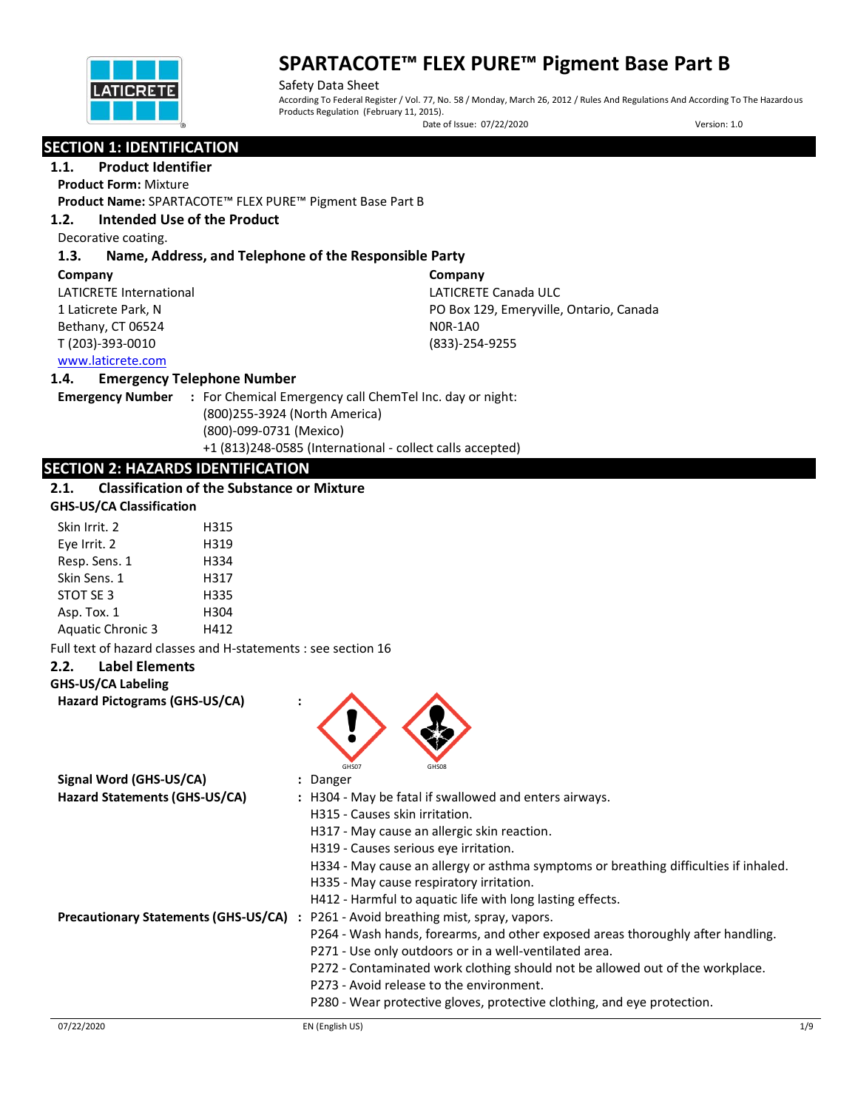

Safety Data Sheet According To Federal Register / Vol. 77, No. 58 / Monday, March 26, 2012 / Rules And Regulations And According To The Hazardous Products Regulation (February 11, 2015).

Date of Issue: 07/22/2020 Version: 1.0

## **SECTION 1: IDENTIFICATION**

## **1.1. Product Identifier**

**Product Form:** Mixture

**Product Name:** SPARTACOTE™ FLEX PURE™ Pigment Base Part B

## **1.2. Intended Use of the Product**

Decorative coating.

## **1.3. Name, Address, and Telephone of the Responsible Party**

| Company                 | Company                                 |
|-------------------------|-----------------------------------------|
| LATICRETE International | LATICRETE Canada ULC                    |
| 1 Laticrete Park, N     | PO Box 129, Emeryville, Ontario, Canada |
| Bethany, CT 06524       | NOR-1AO                                 |
| T (203)-393-0010        | (833)-254-9255                          |
| www.laticrete.com       |                                         |

### **1.4. Emergency Telephone Number**

**Emergency Number :** For Chemical Emergency call ChemTel Inc. day or night: (800)255-3924 (North America) (800)-099-0731 (Mexico) +1 (813)248-0585 (International - collect calls accepted)

## **SECTION 2: HAZARDS IDENTIFICATION**

## **2.1. Classification of the Substance or Mixture**

| Skin Irrit. 2            | H315 |
|--------------------------|------|
| Eye Irrit. 2             | H319 |
| Resp. Sens. 1            | H334 |
| Skin Sens. 1             | H317 |
| STOT SE 3                | H335 |
| Asp. Tox. 1              | H304 |
| <b>Aquatic Chronic 3</b> | H412 |

Full text of hazard classes and H-statements : see section 16

## **2.2. Label Elements**

**GHS-US/CA Labeling**

**Hazard Pictograms (GHS-US/CA) :**



| Hazard Statements (GHS-US/CA)               | : H304 - May be fatal if swallowed and enters airways.                               |
|---------------------------------------------|--------------------------------------------------------------------------------------|
|                                             | H315 - Causes skin irritation.                                                       |
|                                             | H317 - May cause an allergic skin reaction.                                          |
|                                             | H319 - Causes serious eye irritation.                                                |
|                                             | H334 - May cause an allergy or asthma symptoms or breathing difficulties if inhaled. |
|                                             | H335 - May cause respiratory irritation.                                             |
|                                             | H412 - Harmful to aquatic life with long lasting effects.                            |
| <b>Precautionary Statements (GHS-US/CA)</b> | P261 - Avoid breathing mist, spray, vapors.                                          |
|                                             | P264 - Wash hands, forearms, and other exposed areas thoroughly after handling.      |
|                                             | P271 - Use only outdoors or in a well-ventilated area.                               |
|                                             | P272 - Contaminated work clothing should not be allowed out of the workplace.        |
|                                             | P273 - Avoid release to the environment.                                             |
|                                             | P280 - Wear protective gloves, protective clothing, and eye protection.              |
|                                             |                                                                                      |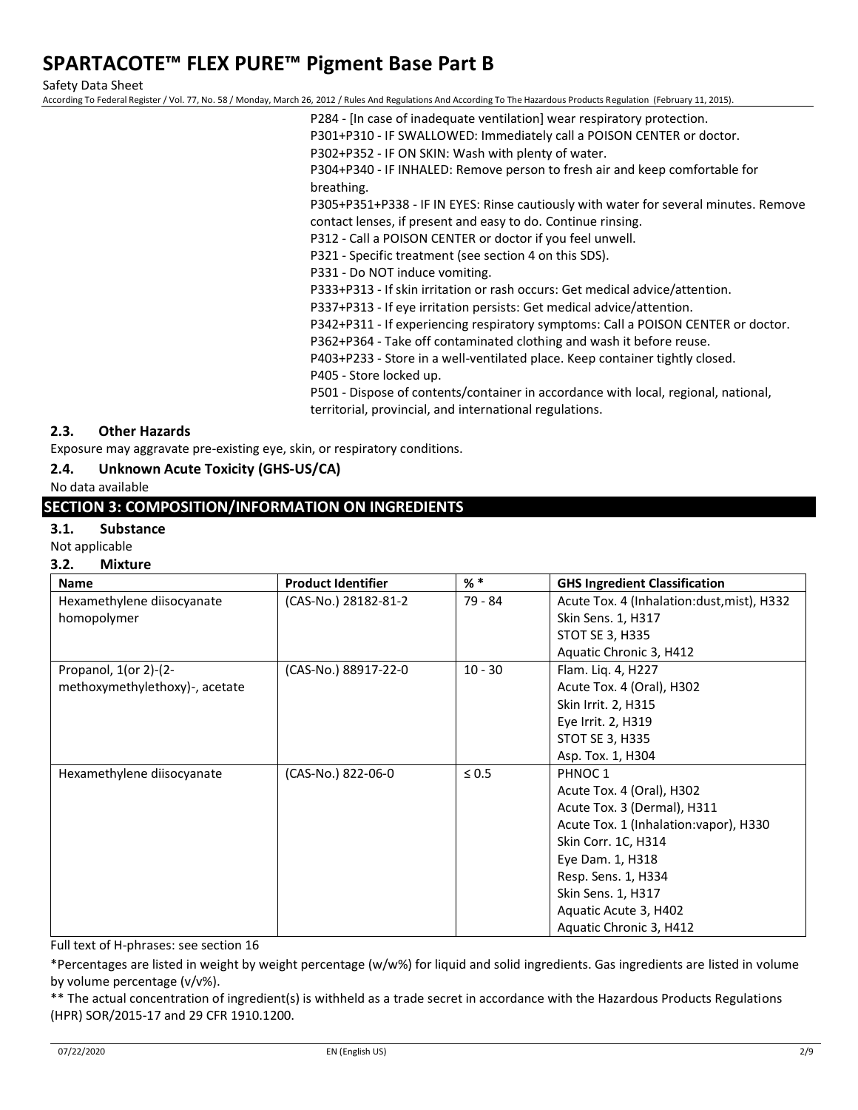Safety Data Sheet

According To Federal Register / Vol. 77, No. 58 / Monday, March 26, 2012 / Rules And Regulations And According To The Hazardous Products Regulation (February 11, 2015).

- P284 [In case of inadequate ventilation] wear respiratory protection.
- P301+P310 IF SWALLOWED: Immediately call a POISON CENTER or doctor.
- P302+P352 IF ON SKIN: Wash with plenty of water.

P304+P340 - IF INHALED: Remove person to fresh air and keep comfortable for breathing.

P305+P351+P338 - IF IN EYES: Rinse cautiously with water for several minutes. Remove contact lenses, if present and easy to do. Continue rinsing.

P312 - Call a POISON CENTER or doctor if you feel unwell.

P321 - Specific treatment (see section 4 on this SDS).

P331 - Do NOT induce vomiting.

P333+P313 - If skin irritation or rash occurs: Get medical advice/attention.

P337+P313 - If eye irritation persists: Get medical advice/attention.

P342+P311 - If experiencing respiratory symptoms: Call a POISON CENTER or doctor.

P362+P364 - Take off contaminated clothing and wash it before reuse.

P403+P233 - Store in a well-ventilated place. Keep container tightly closed.

P405 - Store locked up.

P501 - Dispose of contents/container in accordance with local, regional, national, territorial, provincial, and international regulations.

## **2.3. Other Hazards**

Exposure may aggravate pre-existing eye, skin, or respiratory conditions.

### **2.4. Unknown Acute Toxicity (GHS-US/CA)**

No data available

## **SECTION 3: COMPOSITION/INFORMATION ON INGREDIENTS**

### **3.1. Substance**

Not applicable

### **3.2. Mixture**

| <b>Name</b>                    | <b>Product Identifier</b> | $%$ $*$    | <b>GHS Ingredient Classification</b>       |
|--------------------------------|---------------------------|------------|--------------------------------------------|
| Hexamethylene diisocyanate     | (CAS-No.) 28182-81-2      | 79 - 84    | Acute Tox. 4 (Inhalation:dust, mist), H332 |
| homopolymer                    |                           |            | Skin Sens. 1, H317                         |
|                                |                           |            | STOT SE 3, H335                            |
|                                |                           |            | Aquatic Chronic 3, H412                    |
| Propanol, $1$ (or 2)- $(2-$    | (CAS-No.) 88917-22-0      | $10 - 30$  | Flam. Liq. 4, H227                         |
| methoxymethylethoxy)-, acetate |                           |            | Acute Tox. 4 (Oral), H302                  |
|                                |                           |            | Skin Irrit. 2, H315                        |
|                                |                           |            | Eye Irrit. 2, H319                         |
|                                |                           |            | STOT SE 3, H335                            |
|                                |                           |            | Asp. Tox. 1, H304                          |
| Hexamethylene diisocyanate     | (CAS-No.) 822-06-0        | $\leq 0.5$ | PHNOC <sub>1</sub>                         |
|                                |                           |            | Acute Tox. 4 (Oral), H302                  |
|                                |                           |            | Acute Tox. 3 (Dermal), H311                |
|                                |                           |            | Acute Tox. 1 (Inhalation: vapor), H330     |
|                                |                           |            | Skin Corr. 1C, H314                        |
|                                |                           |            | Eye Dam. 1, H318                           |
|                                |                           |            | Resp. Sens. 1, H334                        |
|                                |                           |            | Skin Sens. 1, H317                         |
|                                |                           |            | Aquatic Acute 3, H402                      |
|                                |                           |            | Aquatic Chronic 3, H412                    |

Full text of H-phrases: see section 16

\*Percentages are listed in weight by weight percentage (w/w%) for liquid and solid ingredients. Gas ingredients are listed in volume by volume percentage (v/v%).

\*\* The actual concentration of ingredient(s) is withheld as a trade secret in accordance with the Hazardous Products Regulations (HPR) SOR/2015-17 and 29 CFR 1910.1200.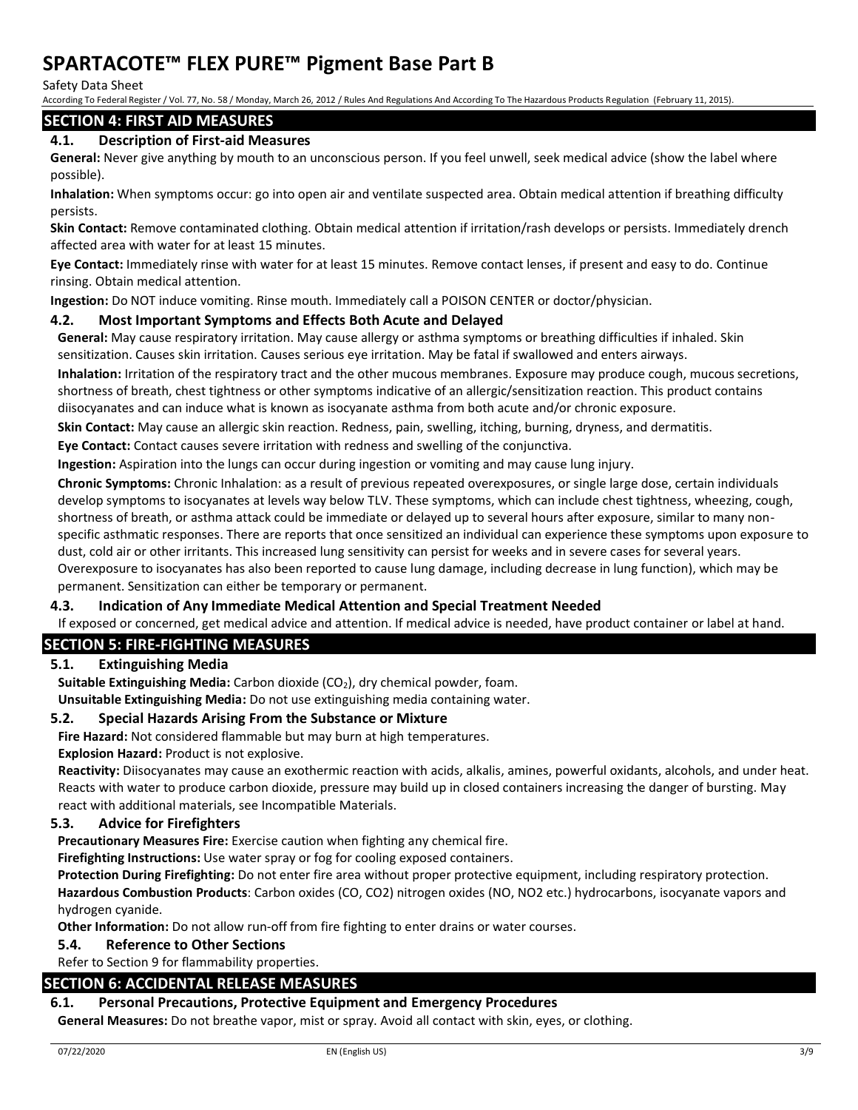Safety Data Sheet

According To Federal Register / Vol. 77, No. 58 / Monday, March 26, 2012 / Rules And Regulations And According To The Hazardous Products Regulation (February 11, 2015).

## **SECTION 4: FIRST AID MEASURES**

## **4.1. Description of First-aid Measures**

**General:** Never give anything by mouth to an unconscious person. If you feel unwell, seek medical advice (show the label where possible).

**Inhalation:** When symptoms occur: go into open air and ventilate suspected area. Obtain medical attention if breathing difficulty persists.

**Skin Contact:** Remove contaminated clothing. Obtain medical attention if irritation/rash develops or persists. Immediately drench affected area with water for at least 15 minutes.

**Eye Contact:** Immediately rinse with water for at least 15 minutes. Remove contact lenses, if present and easy to do. Continue rinsing. Obtain medical attention.

**Ingestion:** Do NOT induce vomiting. Rinse mouth. Immediately call a POISON CENTER or doctor/physician.

## **4.2. Most Important Symptoms and Effects Both Acute and Delayed**

**General:** May cause respiratory irritation. May cause allergy or asthma symptoms or breathing difficulties if inhaled. Skin sensitization. Causes skin irritation. Causes serious eye irritation. May be fatal if swallowed and enters airways.

**Inhalation:** Irritation of the respiratory tract and the other mucous membranes. Exposure may produce cough, mucous secretions, shortness of breath, chest tightness or other symptoms indicative of an allergic/sensitization reaction. This product contains diisocyanates and can induce what is known as isocyanate asthma from both acute and/or chronic exposure.

**Skin Contact:** May cause an allergic skin reaction. Redness, pain, swelling, itching, burning, dryness, and dermatitis.

**Eye Contact:** Contact causes severe irritation with redness and swelling of the conjunctiva.

**Ingestion:** Aspiration into the lungs can occur during ingestion or vomiting and may cause lung injury.

**Chronic Symptoms:** Chronic Inhalation: as a result of previous repeated overexposures, or single large dose, certain individuals develop symptoms to isocyanates at levels way below TLV. These symptoms, which can include chest tightness, wheezing, cough, shortness of breath, or asthma attack could be immediate or delayed up to several hours after exposure, similar to many nonspecific asthmatic responses. There are reports that once sensitized an individual can experience these symptoms upon exposure to dust, cold air or other irritants. This increased lung sensitivity can persist for weeks and in severe cases for several years. Overexposure to isocyanates has also been reported to cause lung damage, including decrease in lung function), which may be permanent. Sensitization can either be temporary or permanent.

### **4.3. Indication of Any Immediate Medical Attention and Special Treatment Needed**

If exposed or concerned, get medical advice and attention. If medical advice is needed, have product container or label at hand.

### **SECTION 5: FIRE-FIGHTING MEASURES**

### **5.1. Extinguishing Media**

**Suitable Extinguishing Media:** Carbon dioxide (CO2), dry chemical powder, foam.

**Unsuitable Extinguishing Media:** Do not use extinguishing media containing water.

### **5.2. Special Hazards Arising From the Substance or Mixture**

**Fire Hazard:** Not considered flammable but may burn at high temperatures.

**Explosion Hazard:** Product is not explosive.

**Reactivity:** Diisocyanates may cause an exothermic reaction with acids, alkalis, amines, powerful oxidants, alcohols, and under heat. Reacts with water to produce carbon dioxide, pressure may build up in closed containers increasing the danger of bursting. May react with additional materials, see Incompatible Materials.

### **5.3. Advice for Firefighters**

**Precautionary Measures Fire:** Exercise caution when fighting any chemical fire.

**Firefighting Instructions:** Use water spray or fog for cooling exposed containers.

**Protection During Firefighting:** Do not enter fire area without proper protective equipment, including respiratory protection. **Hazardous Combustion Products**: Carbon oxides (CO, CO2) nitrogen oxides (NO, NO2 etc.) hydrocarbons, isocyanate vapors and hydrogen cyanide.

**Other Information:** Do not allow run-off from fire fighting to enter drains or water courses.

### **5.4. Reference to Other Sections**

Refer to Section 9 for flammability properties.

### **SECTION 6: ACCIDENTAL RELEASE MEASURES**

### **6.1. Personal Precautions, Protective Equipment and Emergency Procedures**

**General Measures:** Do not breathe vapor, mist or spray. Avoid all contact with skin, eyes, or clothing.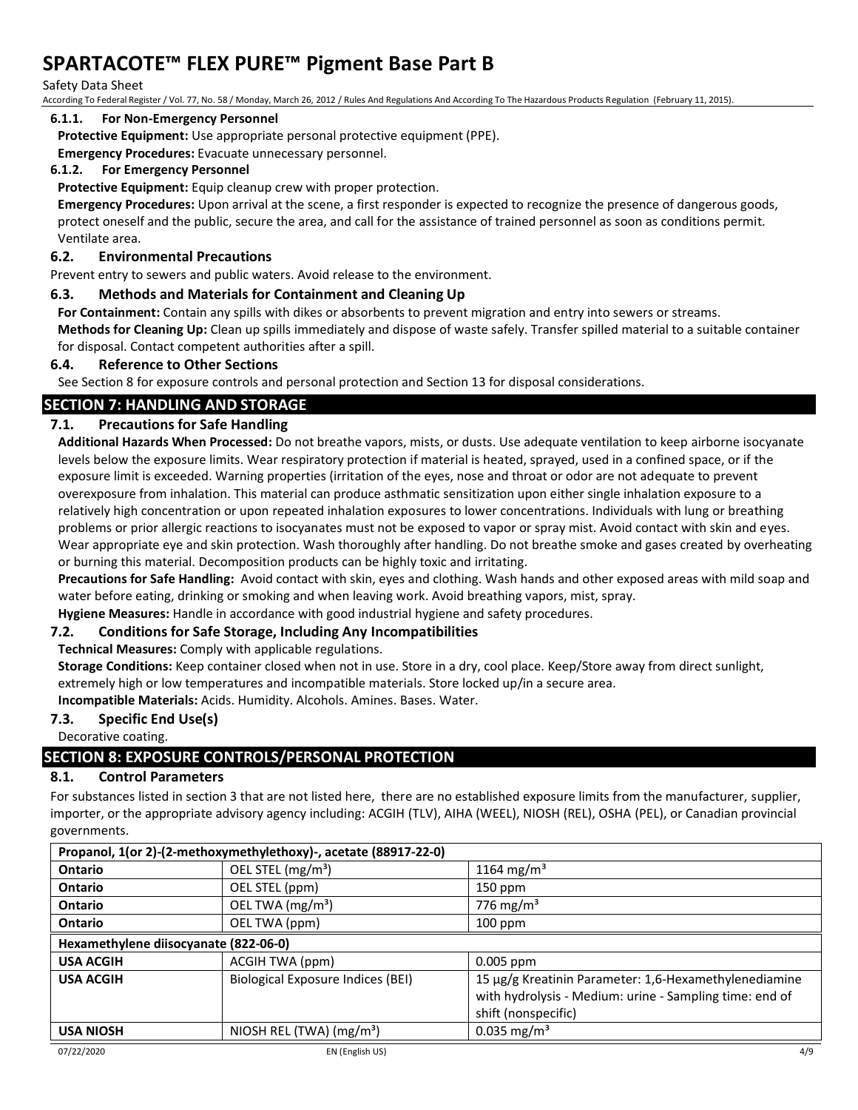#### Safety Data Sheet

According To Federal Register / Vol. 77, No. 58 / Monday, March 26, 2012 / Rules And Regulations And According To The Hazardous Products Regulation (February 11, 2015).

#### **6.1.1. For Non-Emergency Personnel**

**Protective Equipment:** Use appropriate personal protective equipment (PPE).

**Emergency Procedures:** Evacuate unnecessary personnel.

#### **6.1.2. For Emergency Personnel**

**Protective Equipment:** Equip cleanup crew with proper protection.

**Emergency Procedures:** Upon arrival at the scene, a first responder is expected to recognize the presence of dangerous goods, protect oneself and the public, secure the area, and call for the assistance of trained personnel as soon as conditions permit. Ventilate area.

### **6.2. Environmental Precautions**

Prevent entry to sewers and public waters. Avoid release to the environment.

## **6.3. Methods and Materials for Containment and Cleaning Up**

**For Containment:** Contain any spills with dikes or absorbents to prevent migration and entry into sewers or streams.

**Methods for Cleaning Up:** Clean up spills immediately and dispose of waste safely. Transfer spilled material to a suitable container for disposal. Contact competent authorities after a spill.

#### **6.4. Reference to Other Sections**

See Section 8 for exposure controls and personal protection and Section 13 for disposal considerations.

## **SECTION 7: HANDLING AND STORAGE**

## **7.1. Precautions for Safe Handling**

**Additional Hazards When Processed:** Do not breathe vapors, mists, or dusts. Use adequate ventilation to keep airborne isocyanate levels below the exposure limits. Wear respiratory protection if material is heated, sprayed, used in a confined space, or if the exposure limit is exceeded. Warning properties (irritation of the eyes, nose and throat or odor are not adequate to prevent overexposure from inhalation. This material can produce asthmatic sensitization upon either single inhalation exposure to a relatively high concentration or upon repeated inhalation exposures to lower concentrations. Individuals with lung or breathing problems or prior allergic reactions to isocyanates must not be exposed to vapor or spray mist. Avoid contact with skin and eyes. Wear appropriate eye and skin protection. Wash thoroughly after handling. Do not breathe smoke and gases created by overheating or burning this material. Decomposition products can be highly toxic and irritating.

**Precautions for Safe Handling:** Avoid contact with skin, eyes and clothing. Wash hands and other exposed areas with mild soap and water before eating, drinking or smoking and when leaving work. Avoid breathing vapors, mist, spray.

**Hygiene Measures:** Handle in accordance with good industrial hygiene and safety procedures.

### **7.2. Conditions for Safe Storage, Including Any Incompatibilities**

**Technical Measures:** Comply with applicable regulations.

**Storage Conditions:** Keep container closed when not in use. Store in a dry, cool place. Keep/Store away from direct sunlight, extremely high or low temperatures and incompatible materials. Store locked up/in a secure area.

**Incompatible Materials:** Acids. Humidity. Alcohols. Amines. Bases. Water.

### **7.3. Specific End Use(s)**

Decorative coating.

## **SECTION 8: EXPOSURE CONTROLS/PERSONAL PROTECTION**

## **8.1. Control Parameters**

For substances listed in section 3 that are not listed here, there are no established exposure limits from the manufacturer, supplier, importer, or the appropriate advisory agency including: ACGIH (TLV), AIHA (WEEL), NIOSH (REL), OSHA (PEL), or Canadian provincial governments.

| Propanol, 1(or 2)-(2-methoxymethylethoxy)-, acetate (88917-22-0) |                                   |                                                         |  |  |
|------------------------------------------------------------------|-----------------------------------|---------------------------------------------------------|--|--|
| <b>Ontario</b>                                                   | OEL STEL (mg/m <sup>3</sup> )     | 1164 mg/m <sup>3</sup>                                  |  |  |
| <b>Ontario</b>                                                   | OEL STEL (ppm)                    | $150$ ppm                                               |  |  |
| Ontario                                                          | OEL TWA (mg/m <sup>3</sup> )      | 776 mg/m <sup>3</sup>                                   |  |  |
| <b>Ontario</b>                                                   | OEL TWA (ppm)                     | 100 ppm                                                 |  |  |
| Hexamethylene diisocyanate (822-06-0)                            |                                   |                                                         |  |  |
| <b>USA ACGIH</b>                                                 | ACGIH TWA (ppm)                   | $0.005$ ppm                                             |  |  |
| <b>USA ACGIH</b>                                                 | Biological Exposure Indices (BEI) | 15 µg/g Kreatinin Parameter: 1,6-Hexamethylenediamine   |  |  |
|                                                                  |                                   | with hydrolysis - Medium: urine - Sampling time: end of |  |  |
|                                                                  |                                   | shift (nonspecific)                                     |  |  |
| <b>USA NIOSH</b>                                                 | NIOSH REL (TWA) $(mg/m3)$         | 0.035 mg/m <sup>3</sup>                                 |  |  |
| 07/22/2020                                                       | EN (English US)                   | 4/9                                                     |  |  |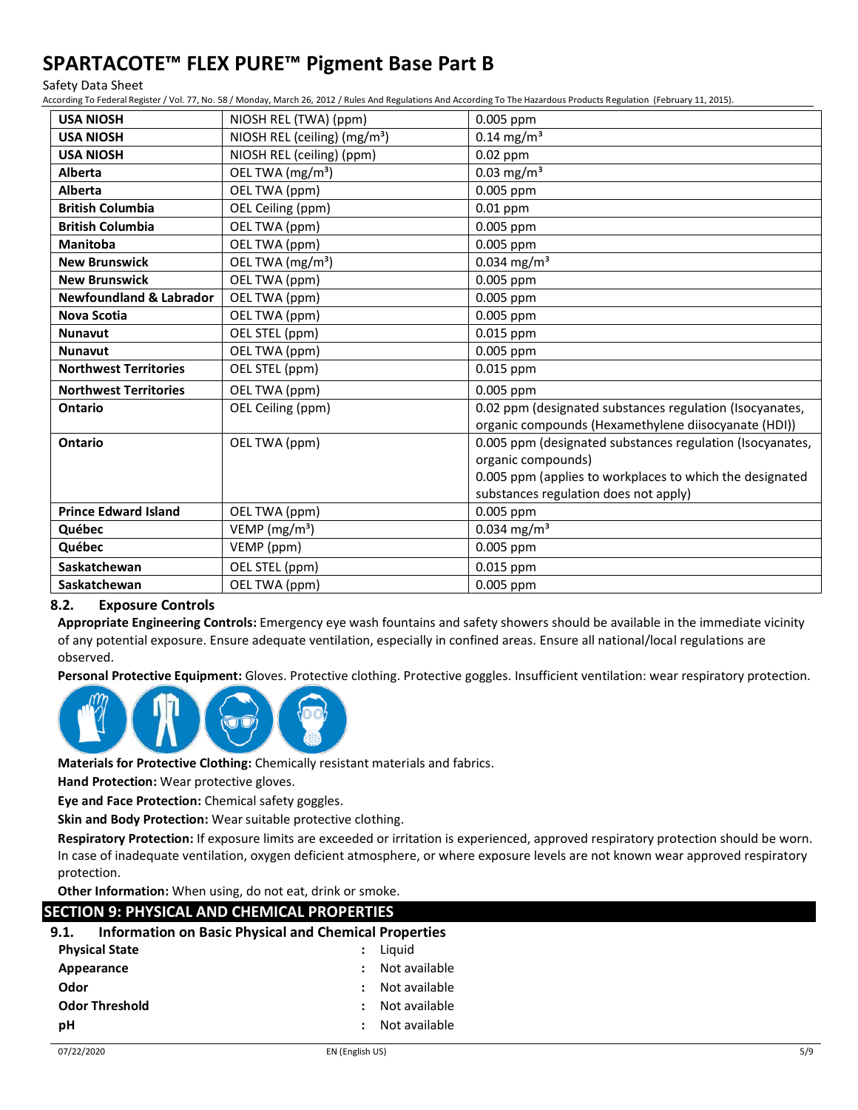#### Safety Data Sheet

According To Federal Register / Vol. 77, No. 58 / Monday, March 26, 2012 / Rules And Regulations And According To The Hazardous Products Regulation (February 11, 2015).

| <b>USA NIOSH</b>                   | NIOSH REL (TWA) (ppm)                    | 0.005 ppm                                                 |
|------------------------------------|------------------------------------------|-----------------------------------------------------------|
| <b>USA NIOSH</b>                   | NIOSH REL (ceiling) (mg/m <sup>3</sup> ) | $0.14$ mg/m <sup>3</sup>                                  |
| <b>USA NIOSH</b>                   | NIOSH REL (ceiling) (ppm)                | $0.02$ ppm                                                |
| <b>Alberta</b>                     | OEL TWA (mg/m <sup>3</sup> )             | 0.03 mg/m <sup>3</sup>                                    |
| <b>Alberta</b>                     | OEL TWA (ppm)                            | 0.005 ppm                                                 |
| <b>British Columbia</b>            | OEL Ceiling (ppm)                        | $0.01$ ppm                                                |
| <b>British Columbia</b>            | OEL TWA (ppm)                            | 0.005 ppm                                                 |
| <b>Manitoba</b>                    | OEL TWA (ppm)                            | 0.005 ppm                                                 |
| <b>New Brunswick</b>               | OEL TWA (mg/m <sup>3</sup> )             | 0.034 mg/m <sup>3</sup>                                   |
| <b>New Brunswick</b>               | OEL TWA (ppm)                            | 0.005 ppm                                                 |
| <b>Newfoundland &amp; Labrador</b> | OEL TWA (ppm)                            | 0.005 ppm                                                 |
| Nova Scotia                        | OEL TWA (ppm)                            | $0.005$ ppm                                               |
| <b>Nunavut</b>                     | OEL STEL (ppm)                           | 0.015 ppm                                                 |
| <b>Nunavut</b>                     | OEL TWA (ppm)                            | 0.005 ppm                                                 |
| <b>Northwest Territories</b>       | OEL STEL (ppm)                           | 0.015 ppm                                                 |
| <b>Northwest Territories</b>       | OEL TWA (ppm)                            | 0.005 ppm                                                 |
| Ontario                            | OEL Ceiling (ppm)                        | 0.02 ppm (designated substances regulation (Isocyanates,  |
|                                    |                                          | organic compounds (Hexamethylene diisocyanate (HDI))      |
| Ontario                            | OEL TWA (ppm)                            | 0.005 ppm (designated substances regulation (Isocyanates, |
|                                    |                                          | organic compounds)                                        |
|                                    |                                          | 0.005 ppm (applies to workplaces to which the designated  |
|                                    |                                          | substances regulation does not apply)                     |
| <b>Prince Edward Island</b>        | OEL TWA (ppm)                            | 0.005 ppm                                                 |
| Québec                             | VEMP ( $mg/m3$ )                         | 0.034 mg/m <sup>3</sup>                                   |
| Québec                             | VEMP (ppm)                               | 0.005 ppm                                                 |
| Saskatchewan                       | OEL STEL (ppm)                           | 0.015 ppm                                                 |
| Saskatchewan                       | OEL TWA (ppm)                            | 0.005 ppm                                                 |

## **8.2. Exposure Controls**

**Appropriate Engineering Controls:** Emergency eye wash fountains and safety showers should be available in the immediate vicinity of any potential exposure. Ensure adequate ventilation, especially in confined areas. Ensure all national/local regulations are observed.

**Personal Protective Equipment:** Gloves. Protective clothing. Protective goggles. Insufficient ventilation: wear respiratory protection.



**Materials for Protective Clothing:** Chemically resistant materials and fabrics.

**Hand Protection:** Wear protective gloves.

**Eye and Face Protection:** Chemical safety goggles.

**Skin and Body Protection:** Wear suitable protective clothing.

**Respiratory Protection:** If exposure limits are exceeded or irritation is experienced, approved respiratory protection should be worn. In case of inadequate ventilation, oxygen deficient atmosphere, or where exposure levels are not known wear approved respiratory protection.

**Other Information:** When using, do not eat, drink or smoke.

| SECTION 9: PHYSICAL AND CHEMICAL PROPERTIES                          |               |  |  |  |  |
|----------------------------------------------------------------------|---------------|--|--|--|--|
| <b>Information on Basic Physical and Chemical Properties</b><br>9.1. |               |  |  |  |  |
| <b>Physical State</b>                                                | Liauid        |  |  |  |  |
| Appearance                                                           | Not available |  |  |  |  |
| Odor                                                                 | Not available |  |  |  |  |
| <b>Odor Threshold</b>                                                | Not available |  |  |  |  |
| рH                                                                   | Not available |  |  |  |  |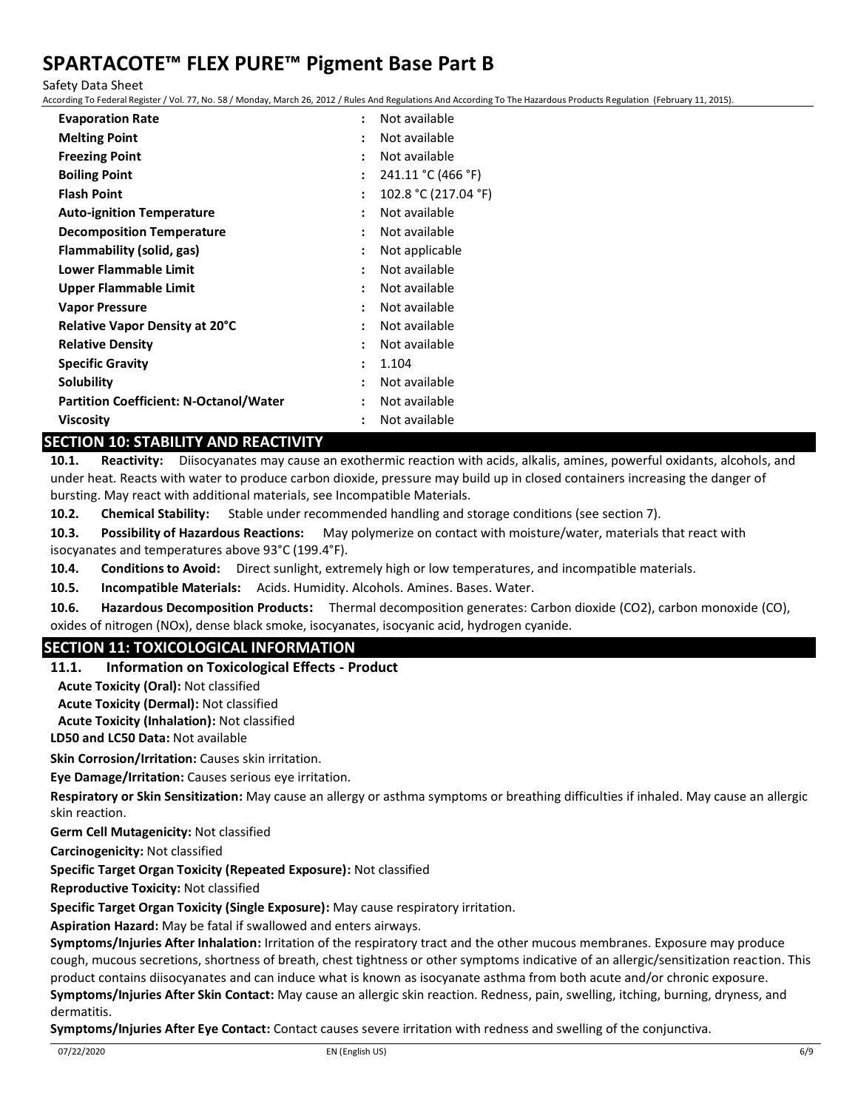Safety Data Sheet

According To Federal Register / Vol. 77, No. 58 / Monday, March 26, 2012 / Rules And Regulations And According To The Hazardous Products Regulation (February 11, 2015).

| <b>Evaporation Rate</b>                       | $\ddot{\cdot}$ | Not available        |
|-----------------------------------------------|----------------|----------------------|
| <b>Melting Point</b>                          | $\ddot{\cdot}$ | Not available        |
| <b>Freezing Point</b>                         | $\ddot{\cdot}$ | Not available        |
| <b>Boiling Point</b>                          | $\ddot{\cdot}$ | 241.11 °C (466 °F)   |
| <b>Flash Point</b>                            | $\ddot{\cdot}$ | 102.8 °C (217.04 °F) |
| <b>Auto-ignition Temperature</b>              | $\ddot{\cdot}$ | Not available        |
| <b>Decomposition Temperature</b>              | ÷              | Not available        |
| Flammability (solid, gas)                     | $\ddot{\cdot}$ | Not applicable       |
| Lower Flammable Limit                         | $\ddot{\cdot}$ | Not available        |
| Upper Flammable Limit                         | $\ddot{\cdot}$ | Not available        |
| <b>Vapor Pressure</b>                         | $\ddot{\cdot}$ | Not available        |
| <b>Relative Vapor Density at 20°C</b>         | $\ddot{\cdot}$ | Not available        |
| <b>Relative Density</b>                       | $\ddot{\cdot}$ | Not available        |
| <b>Specific Gravity</b>                       | ÷              | 1.104                |
| Solubility                                    | $\ddot{\cdot}$ | Not available        |
| <b>Partition Coefficient: N-Octanol/Water</b> | ÷              | Not available        |
| <b>Viscosity</b>                              | $\ddot{\cdot}$ | Not available        |
|                                               |                |                      |

## **SECTION 10: STABILITY AND REACTIVITY**

**10.1. Reactivity:** Diisocyanates may cause an exothermic reaction with acids, alkalis, amines, powerful oxidants, alcohols, and under heat. Reacts with water to produce carbon dioxide, pressure may build up in closed containers increasing the danger of bursting. May react with additional materials, see Incompatible Materials.

**10.2. Chemical Stability:** Stable under recommended handling and storage conditions (see section 7).

**10.3. Possibility of Hazardous Reactions:** May polymerize on contact with moisture/water, materials that react with isocyanates and temperatures above 93°C (199.4°F).

**10.4. Conditions to Avoid:** Direct sunlight, extremely high or low temperatures, and incompatible materials.

**10.5. Incompatible Materials:** Acids. Humidity. Alcohols. Amines. Bases. Water.

**10.6. Hazardous Decomposition Products:** Thermal decomposition generates: Carbon dioxide (CO2), carbon monoxide (CO), oxides of nitrogen (NOx), dense black smoke, isocyanates, isocyanic acid, hydrogen cyanide.

## **SECTION 11: TOXICOLOGICAL INFORMATION**

### **11.1. Information on Toxicological Effects - Product**

**Acute Toxicity (Oral):** Not classified

**Acute Toxicity (Dermal):** Not classified

**Acute Toxicity (Inhalation):** Not classified

**LD50 and LC50 Data:** Not available

**Skin Corrosion/Irritation:** Causes skin irritation.

**Eye Damage/Irritation:** Causes serious eye irritation.

**Respiratory or Skin Sensitization:** May cause an allergy or asthma symptoms or breathing difficulties if inhaled. May cause an allergic skin reaction.

**Germ Cell Mutagenicity:** Not classified

**Carcinogenicity:** Not classified

**Specific Target Organ Toxicity (Repeated Exposure):** Not classified

**Reproductive Toxicity:** Not classified

**Specific Target Organ Toxicity (Single Exposure):** May cause respiratory irritation.

**Aspiration Hazard:** May be fatal if swallowed and enters airways.

**Symptoms/Injuries After Inhalation:** Irritation of the respiratory tract and the other mucous membranes. Exposure may produce cough, mucous secretions, shortness of breath, chest tightness or other symptoms indicative of an allergic/sensitization reaction. This product contains diisocyanates and can induce what is known as isocyanate asthma from both acute and/or chronic exposure. **Symptoms/Injuries After Skin Contact:** May cause an allergic skin reaction. Redness, pain, swelling, itching, burning, dryness, and dermatitis.

**Symptoms/Injuries After Eye Contact:** Contact causes severe irritation with redness and swelling of the conjunctiva.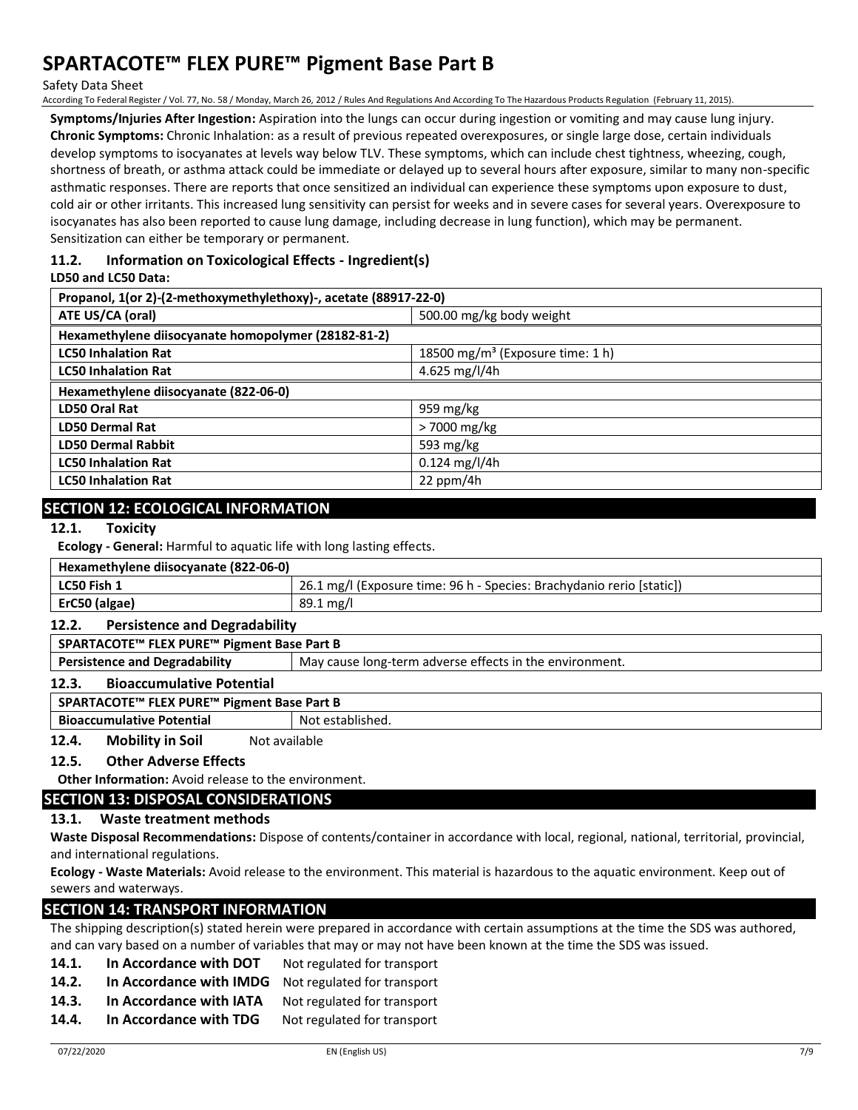Safety Data Sheet

According To Federal Register / Vol. 77, No. 58 / Monday, March 26, 2012 / Rules And Regulations And According To The Hazardous Products Regulation (February 11, 2015).

**Symptoms/Injuries After Ingestion:** Aspiration into the lungs can occur during ingestion or vomiting and may cause lung injury. **Chronic Symptoms:** Chronic Inhalation: as a result of previous repeated overexposures, or single large dose, certain individuals develop symptoms to isocyanates at levels way below TLV. These symptoms, which can include chest tightness, wheezing, cough, shortness of breath, or asthma attack could be immediate or delayed up to several hours after exposure, similar to many non-specific asthmatic responses. There are reports that once sensitized an individual can experience these symptoms upon exposure to dust, cold air or other irritants. This increased lung sensitivity can persist for weeks and in severe cases for several years. Overexposure to isocyanates has also been reported to cause lung damage, including decrease in lung function), which may be permanent. Sensitization can either be temporary or permanent.

## **11.2. Information on Toxicological Effects - Ingredient(s)**

#### **LD50 and LC50 Data:**

| Propanol, 1(or 2)-(2-methoxymethylethoxy)-, acetate (88917-22-0) |                                              |  |
|------------------------------------------------------------------|----------------------------------------------|--|
| ATE US/CA (oral)                                                 | 500.00 mg/kg body weight                     |  |
| Hexamethylene diisocyanate homopolymer (28182-81-2)              |                                              |  |
| <b>LC50 Inhalation Rat</b>                                       | 18500 mg/m <sup>3</sup> (Exposure time: 1 h) |  |
| <b>LC50 Inhalation Rat</b>                                       | 4.625 mg/l/4h                                |  |
| Hexamethylene diisocyanate (822-06-0)                            |                                              |  |
| LD50 Oral Rat                                                    | 959 mg/kg                                    |  |
| <b>LD50 Dermal Rat</b>                                           | > 7000 mg/kg                                 |  |
| <b>LD50 Dermal Rabbit</b>                                        | 593 $mg/kg$                                  |  |
| <b>LC50 Inhalation Rat</b>                                       | $0.124$ mg/l/4h                              |  |
| <b>LC50 Inhalation Rat</b>                                       | $22$ ppm/4h                                  |  |

## **SECTION 12: ECOLOGICAL INFORMATION**

#### **12.1. Toxicity**

**Ecology - General:** Harmful to aquatic life with long lasting effects.

| Hexamethylene diisocyanate (822-06-0) |                                                                       |  |  |
|---------------------------------------|-----------------------------------------------------------------------|--|--|
| LC50 Fish 1                           | 26.1 mg/l (Exposure time: 96 h - Species: Brachydanio rerio [static]) |  |  |
| ErC50 (algae)                         | $89.1 \,\mathrm{mg/l}$                                                |  |  |

#### **12.2. Persistence and Degradability**

**SPARTACOTE™ FLEX PURE™ Pigment Base Part B Persistence and Degradability** May cause long-term adverse effects in the environment.

## **12.3. Bioaccumulative Potential**

**SPARTACOTE™ FLEX PURE™ Pigment Base Part B**

**Bioaccumulative Potential** Not established.

12.4. Mobility in Soil Not available

### **12.5. Other Adverse Effects**

**Other Information:** Avoid release to the environment.

### **SECTION 13: DISPOSAL CONSIDERATIONS**

### **13.1. Waste treatment methods**

**Waste Disposal Recommendations:** Dispose of contents/container in accordance with local, regional, national, territorial, provincial, and international regulations.

**Ecology - Waste Materials:** Avoid release to the environment. This material is hazardous to the aquatic environment. Keep out of sewers and waterways.

## **SECTION 14: TRANSPORT INFORMATION**

The shipping description(s) stated herein were prepared in accordance with certain assumptions at the time the SDS was authored, and can vary based on a number of variables that may or may not have been known at the time the SDS was issued.

- **14.1. In Accordance with DOT** Not regulated for transport
- **14.2. In Accordance with IMDG** Not regulated for transport
- 14.3. In Accordance with IATA Not regulated for transport
- 14.4. In Accordance with TDG Not regulated for transport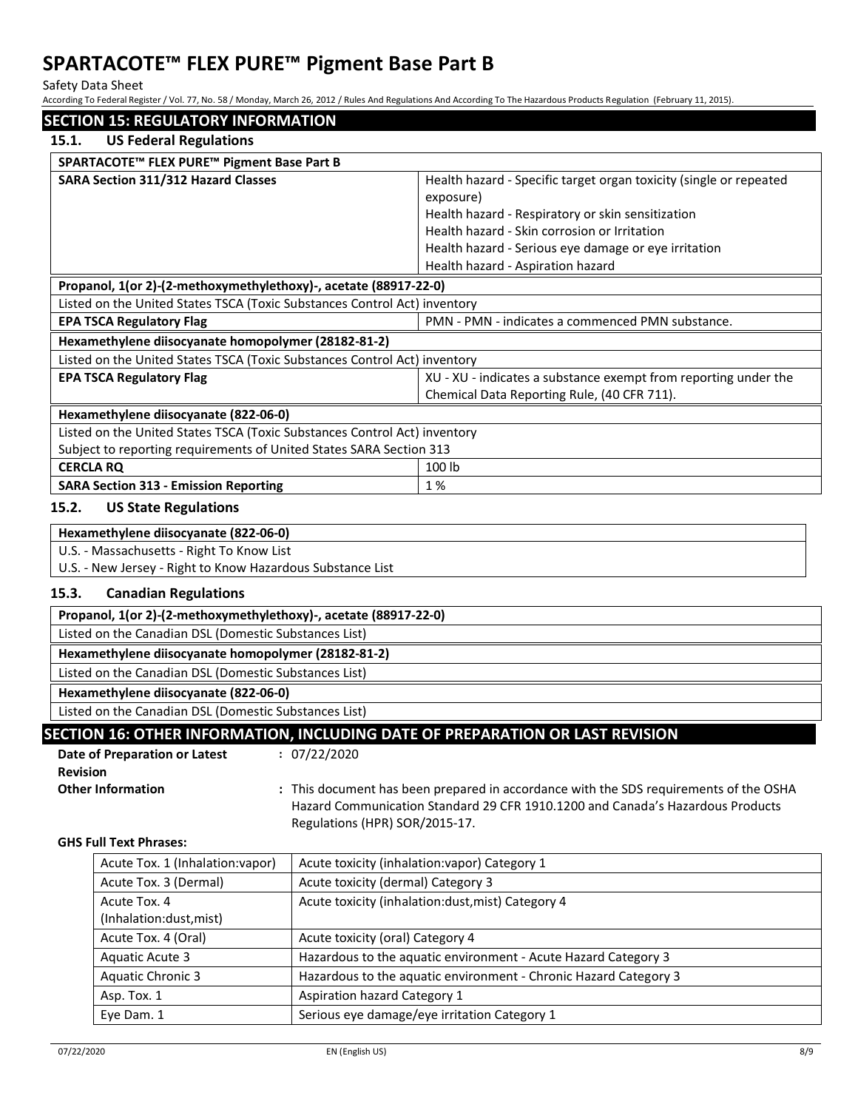Safety Data Sheet

According To Federal Register / Vol. 77, No. 58 / Monday, March 26, 2012 / Rules And Regulations And According To The Hazardous Products Regulation (February 11, 2015).

| 15.1.                                               | <b>US Federal Regulations</b>                                                  |                                                                                                                       |                                                                                       |  |  |
|-----------------------------------------------------|--------------------------------------------------------------------------------|-----------------------------------------------------------------------------------------------------------------------|---------------------------------------------------------------------------------------|--|--|
|                                                     |                                                                                |                                                                                                                       |                                                                                       |  |  |
|                                                     | SPARTACOTE™ FLEX PURE™ Pigment Base Part B                                     |                                                                                                                       |                                                                                       |  |  |
|                                                     | <b>SARA Section 311/312 Hazard Classes</b>                                     |                                                                                                                       | Health hazard - Specific target organ toxicity (single or repeated                    |  |  |
|                                                     |                                                                                |                                                                                                                       | exposure)                                                                             |  |  |
|                                                     |                                                                                |                                                                                                                       | Health hazard - Respiratory or skin sensitization                                     |  |  |
|                                                     |                                                                                |                                                                                                                       | Health hazard - Skin corrosion or Irritation                                          |  |  |
|                                                     |                                                                                |                                                                                                                       | Health hazard - Serious eye damage or eye irritation                                  |  |  |
|                                                     |                                                                                |                                                                                                                       | Health hazard - Aspiration hazard                                                     |  |  |
|                                                     | Propanol, 1(or 2)-(2-methoxymethylethoxy)-, acetate (88917-22-0)               |                                                                                                                       |                                                                                       |  |  |
|                                                     | Listed on the United States TSCA (Toxic Substances Control Act) inventory      |                                                                                                                       |                                                                                       |  |  |
|                                                     | <b>EPA TSCA Regulatory Flag</b>                                                |                                                                                                                       | PMN - PMN - indicates a commenced PMN substance.                                      |  |  |
|                                                     | Hexamethylene diisocyanate homopolymer (28182-81-2)                            |                                                                                                                       |                                                                                       |  |  |
|                                                     | Listed on the United States TSCA (Toxic Substances Control Act) inventory      |                                                                                                                       |                                                                                       |  |  |
|                                                     | <b>EPA TSCA Regulatory Flag</b>                                                |                                                                                                                       | XU - XU - indicates a substance exempt from reporting under the                       |  |  |
|                                                     |                                                                                |                                                                                                                       | Chemical Data Reporting Rule, (40 CFR 711).                                           |  |  |
|                                                     | Hexamethylene diisocyanate (822-06-0)                                          |                                                                                                                       |                                                                                       |  |  |
|                                                     | Listed on the United States TSCA (Toxic Substances Control Act) inventory      |                                                                                                                       |                                                                                       |  |  |
|                                                     | Subject to reporting requirements of United States SARA Section 313            |                                                                                                                       |                                                                                       |  |  |
| <b>CERCLA RQ</b>                                    |                                                                                |                                                                                                                       | 100 lb                                                                                |  |  |
|                                                     | 1%<br><b>SARA Section 313 - Emission Reporting</b>                             |                                                                                                                       |                                                                                       |  |  |
|                                                     | 15.2.<br><b>US State Regulations</b>                                           |                                                                                                                       |                                                                                       |  |  |
|                                                     | Hexamethylene diisocyanate (822-06-0)                                          |                                                                                                                       |                                                                                       |  |  |
|                                                     | U.S. - Massachusetts - Right To Know List                                      |                                                                                                                       |                                                                                       |  |  |
|                                                     | U.S. - New Jersey - Right to Know Hazardous Substance List                     |                                                                                                                       |                                                                                       |  |  |
| 15.3.<br><b>Canadian Regulations</b>                |                                                                                |                                                                                                                       |                                                                                       |  |  |
|                                                     | Propanol, 1(or 2)-(2-methoxymethylethoxy)-, acetate (88917-22-0)               |                                                                                                                       |                                                                                       |  |  |
|                                                     | Listed on the Canadian DSL (Domestic Substances List)                          |                                                                                                                       |                                                                                       |  |  |
| Hexamethylene diisocyanate homopolymer (28182-81-2) |                                                                                |                                                                                                                       |                                                                                       |  |  |
|                                                     | Listed on the Canadian DSL (Domestic Substances List)                          |                                                                                                                       |                                                                                       |  |  |
| Hexamethylene diisocyanate (822-06-0)               |                                                                                |                                                                                                                       |                                                                                       |  |  |
|                                                     | Listed on the Canadian DSL (Domestic Substances List)                          |                                                                                                                       |                                                                                       |  |  |
|                                                     |                                                                                |                                                                                                                       | SECTION 16: OTHER INFORMATION, INCLUDING DATE OF PREPARATION OR LAST REVISION         |  |  |
|                                                     | <b>Date of Preparation or Latest</b>                                           | : 07/22/2020                                                                                                          |                                                                                       |  |  |
| <b>Revision</b>                                     |                                                                                |                                                                                                                       |                                                                                       |  |  |
|                                                     | <b>Other Information</b>                                                       |                                                                                                                       | : This document has been prepared in accordance with the SDS requirements of the OSHA |  |  |
|                                                     | Hazard Communication Standard 29 CFR 1910.1200 and Canada's Hazardous Products |                                                                                                                       |                                                                                       |  |  |
|                                                     | Regulations (HPR) SOR/2015-17.                                                 |                                                                                                                       |                                                                                       |  |  |
|                                                     | <b>GHS Full Text Phrases:</b>                                                  |                                                                                                                       |                                                                                       |  |  |
|                                                     | Acute Tox. 1 (Inhalation:vapor)                                                |                                                                                                                       | Acute toxicity (inhalation: vapor) Category 1                                         |  |  |
|                                                     | Acute Tox. 3 (Dermal)                                                          | Acute toxicity (dermal) Category 3                                                                                    |                                                                                       |  |  |
|                                                     | Acute Tox. 4<br>Acute toxicity (inhalation:dust, mist) Category 4              |                                                                                                                       |                                                                                       |  |  |
|                                                     | (Inhalation:dust, mist)                                                        |                                                                                                                       |                                                                                       |  |  |
|                                                     | Acute Tox. 4 (Oral)<br>Acute toxicity (oral) Category 4                        |                                                                                                                       |                                                                                       |  |  |
|                                                     | Aquatic Acute 3                                                                |                                                                                                                       | Hazardous to the aquatic environment - Acute Hazard Category 3                        |  |  |
|                                                     |                                                                                |                                                                                                                       |                                                                                       |  |  |
|                                                     | Asp. Tox. 1                                                                    |                                                                                                                       |                                                                                       |  |  |
|                                                     |                                                                                | Serious eye damage/eye irritation Category 1                                                                          |                                                                                       |  |  |
|                                                     | <b>Aquatic Chronic 3</b>                                                       | Hazardous to the aquatic environment - Chronic Hazard Category 3<br><b>Aspiration hazard Category 1</b><br>Eye Dam. 1 |                                                                                       |  |  |

 $\overline{\phantom{a}}$